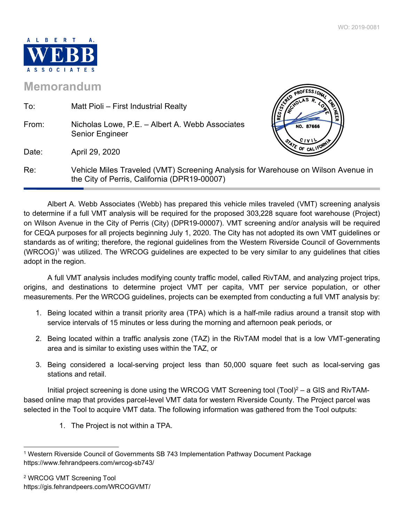$\sqrt{P}$ **ROFESS/ONTING** 



## **Memorandum**

| To:   | Matt Pioli – First Industrial Realty                                                                                              |                         |
|-------|-----------------------------------------------------------------------------------------------------------------------------------|-------------------------|
| From: | Nicholas Lowe, P.E. - Albert A. Webb Associates<br>Senior Engineer                                                                | <b>REG</b><br>NO. 87666 |
| Date: | April 29, 2020                                                                                                                    | $\sim$ OF CAL .         |
| Re:   | Vehicle Miles Traveled (VMT) Screening Analysis for Warehouse on Wilson Avenue in<br>the City of Perris, California (DPR19-00007) |                         |

 Albert A. Webb Associates (Webb) has prepared this vehicle miles traveled (VMT) screening analysis to determine if a full VMT analysis will be required for the proposed 303,228 square foot warehouse (Project) on Wilson Avenue in the City of Perris (City) (DPR19-00007). VMT screening and/or analysis will be required for CEQA purposes for all projects beginning July 1, 2020. The City has not adopted its own VMT guidelines or standards as of writing; therefore, the regional guidelines from the Western Riverside Council of Governments (WRCOG)<sup>1</sup> was utilized. The WRCOG guidelines are expected to be very similar to any guidelines that cities adopt in the region.

 A full VMT analysis includes modifying county traffic model, called RivTAM, and analyzing project trips, origins, and destinations to determine project VMT per capita, VMT per service population, or other measurements. Per the WRCOG guidelines, projects can be exempted from conducting a full VMT analysis by:

- 1. Being located within a transit priority area (TPA) which is a half-mile radius around a transit stop with service intervals of 15 minutes or less during the morning and afternoon peak periods, or
- 2. Being located within a traffic analysis zone (TAZ) in the RivTAM model that is a low VMT-generating area and is similar to existing uses within the TAZ, or
- 3. Being considered a local-serving project less than 50,000 square feet such as local-serving gas stations and retail.

Initial project screening is done using the WRCOG VMT Screening tool  $(Tool)^2 - a GIS$  and RivTAMbased online map that provides parcel-level VMT data for western Riverside County. The Project parcel was selected in the Tool to acquire VMT data. The following information was gathered from the Tool outputs:

1. The Project is not within a TPA.

<sup>1</sup> Western Riverside Council of Governments SB 743 Implementation Pathway Document Package https://www.fehrandpeers.com/wrcog-sb743/